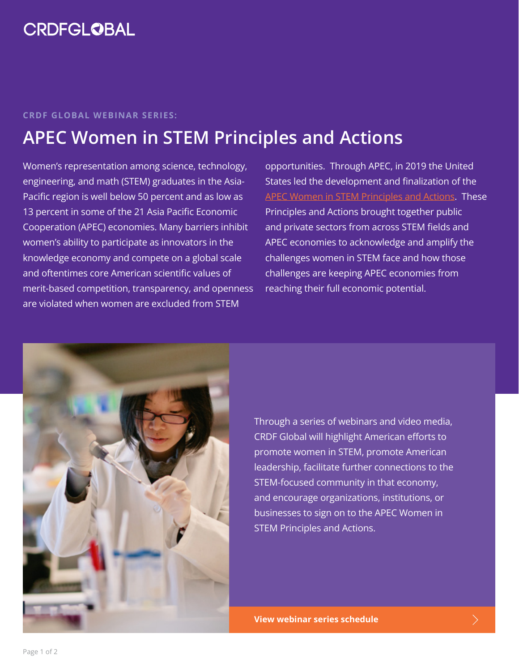#### **CRDF GLOBAL WEBINAR SERIES:**

# **APEC Women in STEM Principles and Actions**

Women's representation among science, technology, engineering, and math (STEM) graduates in the Asia-Pacific region is well below 50 percent and as low as 13 percent in some of the 21 Asia Pacific Economic Cooperation (APEC) economies. Many barriers inhibit women's ability to participate as innovators in the knowledge economy and compete on a global scale and oftentimes core American scientific values of merit-based competition, transparency, and openness are violated when women are excluded from STEM

opportunities. Through APEC, in 2019 the United States led the development and finalization of the [APEC Women in STEM Principles and Actions](https://www.apec.org/docs/default-source/groups/ppsti/2020/final-apec-women-in-stem-principles.pdf). These Principles and Actions brought together public and private sectors from across STEM fields and APEC economies to acknowledge and amplify the challenges women in STEM face and how those challenges are keeping APEC economies from reaching their full economic potential.



Through a series of webinars and video media, CRDF Global will highlight American efforts to promote women in STEM, promote American leadership, facilitate further connections to the STEM-focused community in that economy, and encourage organizations, institutions, or businesses to sign on to the APEC Women in STEM Principles and Actions.